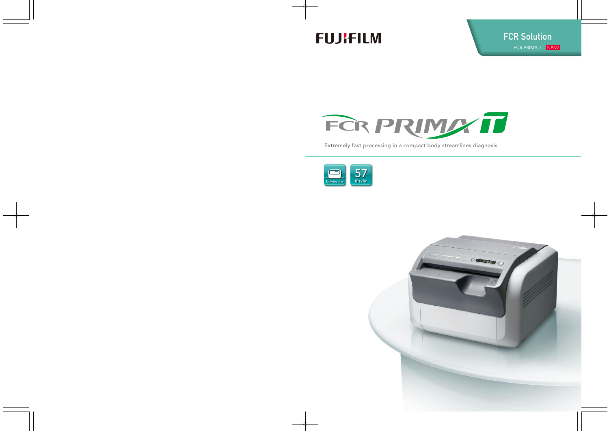# **FUJIFILM**



Extremely fast processing in a compact body streamlines diagnosis



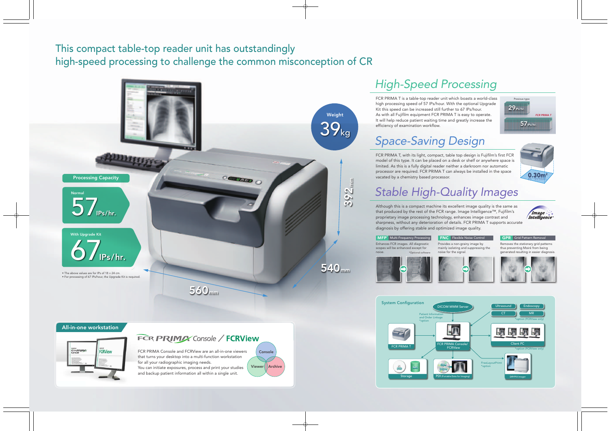#### This compact table-top reader unit has outstandingly high-speed processing to challenge the common misconception of CR



Previous type

57 IPs/hr.

 $29$ <sub>IPs/h</sub>

*FCR PRIMA T*

FCR PRIMA Console and FCRView are an all-in-one viewers that turns your desktop into a multi-function workstation for all your radiographic imaging needs. Viewer Archive

## *Space-Saving Design*

Provides a non-grainy image by mainly isolating and suppressing the Enhances FCR images. All diagnostic scopes will be enhanced except for **MFP<sup>\*</sup>** Multi-Frequency Processing

FCR PRIMA T, with its light, compact, table top design is Fujifilm's first FCR model of this type. It can be placed on a desk or shelf or anywhere space is limited. As this is a fully digital reader neither a darkroom nor automatic processor are required. FCR PRIMA T can always be installed in the space vacated by a chemistry based processor.

You can initiate exposures, process and print your studies and backup patient information all within a single unit.

#### All-in-one workstation



#### **FCR PRIMAX** Console / **FCRView**

**Console** 



noise for the signal.

FNC Flexible Noise Control





noise.

\*Optional software

# *Stable High-Quality Images*

Although this is a compact machine its excellent image quality is the same as that produced by the rest of the FCR range. Image Intelligence™, Fujifilm's Image proprietary image processing technology, enhances image contrast and *Intelligence* sharpness, without any deterioration of details. FCR PRIMA T supports accurate diagnosis by offering stable and optimized image quality.



### *High-Speed Processing*

FCR PRIMA T is a table-top reader unit which boasts a world-class high processing speed of 57 IPs/hour. With the optional Upgrade Kit this speed can be increased still further to 67 IPs/hour. As with all Fujifilm equipment FCR PRIMA T is easy to operate. It will help reduce patient waiting time and greatly increase the efficiency of examination workflow.